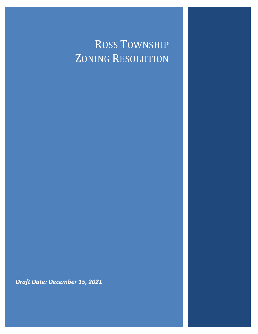## ROSS TOWNSHIP ZONING RESOLUTION

*Draft Date: December 15, 2021*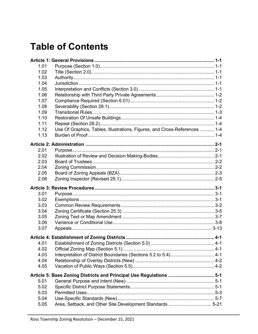## **Table of Contents**

| 1.01         |                                                                            |  |
|--------------|----------------------------------------------------------------------------|--|
| 1.02         |                                                                            |  |
| 1.03         |                                                                            |  |
| 1.04         |                                                                            |  |
| 1.05         |                                                                            |  |
| 1.06         |                                                                            |  |
| 1.07         |                                                                            |  |
| 1.08         |                                                                            |  |
| 1.09         |                                                                            |  |
| 1.10         |                                                                            |  |
| 1.11         |                                                                            |  |
| 1.12         | Use Of Graphics, Tables, Illustrations, Figures, and Cross-References  1-4 |  |
| 1.13         |                                                                            |  |
|              |                                                                            |  |
| 2.01         |                                                                            |  |
| 2.02         |                                                                            |  |
| 2.03         |                                                                            |  |
| 2.04         |                                                                            |  |
| 2.05         |                                                                            |  |
| 2.06         |                                                                            |  |
|              |                                                                            |  |
|              |                                                                            |  |
| 3.01         |                                                                            |  |
| 3.02         |                                                                            |  |
| 3.03         |                                                                            |  |
| 3.04         |                                                                            |  |
| 3.05         |                                                                            |  |
| 3.06         |                                                                            |  |
| 3.07         |                                                                            |  |
|              |                                                                            |  |
|              |                                                                            |  |
| 4.01         |                                                                            |  |
| 4.02         |                                                                            |  |
| 4.03         | Interpretation of District Boundaries (Sections 5.2 to 5.4)  4-1           |  |
| 4.04<br>4.05 |                                                                            |  |
|              |                                                                            |  |
|              | Article 5: Base Zoning Districts and Principal Use Regulations  5-1        |  |
| 5.01         |                                                                            |  |
| 5.02         |                                                                            |  |
| 5.03         |                                                                            |  |
| 5.04<br>5.05 | Area, Setback, and Other Site Development Standards 5-21                   |  |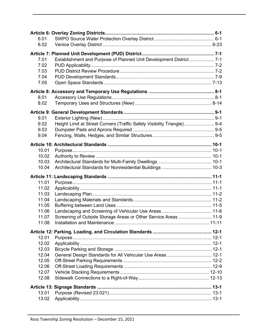| 6.01<br>6.02<br>Establishment and Purpose of Planned Unit Development District 7-1<br>7.01<br>7.02<br>7.03<br>7.04<br>7.05<br>8.01<br>8.02<br>9.01<br>Height Limit at Street Corners (Traffic Safety Visibility Triangle) 9-4<br>9.02<br>9.03<br>9.04<br>10.01<br>10.02<br>10.03<br>10.04<br>11.01<br>11.02<br>11.03<br>11.04<br>11.05<br>11.06<br>Screening of Outside Storage Areas or Other Service Areas  11-9<br>11.07<br>11.08<br>12.01<br>12.02<br>12.03<br>General Design Standards for All Vehicular Use Areas  12-1<br>12.04<br>12.05<br>12.06<br>12.07<br>12.08<br>13.01 |       |  |  |  |  |
|-------------------------------------------------------------------------------------------------------------------------------------------------------------------------------------------------------------------------------------------------------------------------------------------------------------------------------------------------------------------------------------------------------------------------------------------------------------------------------------------------------------------------------------------------------------------------------------|-------|--|--|--|--|
|                                                                                                                                                                                                                                                                                                                                                                                                                                                                                                                                                                                     |       |  |  |  |  |
|                                                                                                                                                                                                                                                                                                                                                                                                                                                                                                                                                                                     |       |  |  |  |  |
|                                                                                                                                                                                                                                                                                                                                                                                                                                                                                                                                                                                     |       |  |  |  |  |
|                                                                                                                                                                                                                                                                                                                                                                                                                                                                                                                                                                                     |       |  |  |  |  |
|                                                                                                                                                                                                                                                                                                                                                                                                                                                                                                                                                                                     |       |  |  |  |  |
|                                                                                                                                                                                                                                                                                                                                                                                                                                                                                                                                                                                     |       |  |  |  |  |
|                                                                                                                                                                                                                                                                                                                                                                                                                                                                                                                                                                                     |       |  |  |  |  |
|                                                                                                                                                                                                                                                                                                                                                                                                                                                                                                                                                                                     |       |  |  |  |  |
|                                                                                                                                                                                                                                                                                                                                                                                                                                                                                                                                                                                     |       |  |  |  |  |
|                                                                                                                                                                                                                                                                                                                                                                                                                                                                                                                                                                                     |       |  |  |  |  |
|                                                                                                                                                                                                                                                                                                                                                                                                                                                                                                                                                                                     |       |  |  |  |  |
|                                                                                                                                                                                                                                                                                                                                                                                                                                                                                                                                                                                     |       |  |  |  |  |
|                                                                                                                                                                                                                                                                                                                                                                                                                                                                                                                                                                                     |       |  |  |  |  |
|                                                                                                                                                                                                                                                                                                                                                                                                                                                                                                                                                                                     |       |  |  |  |  |
|                                                                                                                                                                                                                                                                                                                                                                                                                                                                                                                                                                                     |       |  |  |  |  |
|                                                                                                                                                                                                                                                                                                                                                                                                                                                                                                                                                                                     |       |  |  |  |  |
|                                                                                                                                                                                                                                                                                                                                                                                                                                                                                                                                                                                     |       |  |  |  |  |
|                                                                                                                                                                                                                                                                                                                                                                                                                                                                                                                                                                                     |       |  |  |  |  |
|                                                                                                                                                                                                                                                                                                                                                                                                                                                                                                                                                                                     |       |  |  |  |  |
|                                                                                                                                                                                                                                                                                                                                                                                                                                                                                                                                                                                     |       |  |  |  |  |
|                                                                                                                                                                                                                                                                                                                                                                                                                                                                                                                                                                                     |       |  |  |  |  |
|                                                                                                                                                                                                                                                                                                                                                                                                                                                                                                                                                                                     |       |  |  |  |  |
|                                                                                                                                                                                                                                                                                                                                                                                                                                                                                                                                                                                     |       |  |  |  |  |
|                                                                                                                                                                                                                                                                                                                                                                                                                                                                                                                                                                                     |       |  |  |  |  |
|                                                                                                                                                                                                                                                                                                                                                                                                                                                                                                                                                                                     |       |  |  |  |  |
|                                                                                                                                                                                                                                                                                                                                                                                                                                                                                                                                                                                     |       |  |  |  |  |
|                                                                                                                                                                                                                                                                                                                                                                                                                                                                                                                                                                                     |       |  |  |  |  |
|                                                                                                                                                                                                                                                                                                                                                                                                                                                                                                                                                                                     |       |  |  |  |  |
|                                                                                                                                                                                                                                                                                                                                                                                                                                                                                                                                                                                     |       |  |  |  |  |
|                                                                                                                                                                                                                                                                                                                                                                                                                                                                                                                                                                                     |       |  |  |  |  |
|                                                                                                                                                                                                                                                                                                                                                                                                                                                                                                                                                                                     |       |  |  |  |  |
|                                                                                                                                                                                                                                                                                                                                                                                                                                                                                                                                                                                     |       |  |  |  |  |
|                                                                                                                                                                                                                                                                                                                                                                                                                                                                                                                                                                                     |       |  |  |  |  |
|                                                                                                                                                                                                                                                                                                                                                                                                                                                                                                                                                                                     |       |  |  |  |  |
|                                                                                                                                                                                                                                                                                                                                                                                                                                                                                                                                                                                     |       |  |  |  |  |
|                                                                                                                                                                                                                                                                                                                                                                                                                                                                                                                                                                                     |       |  |  |  |  |
|                                                                                                                                                                                                                                                                                                                                                                                                                                                                                                                                                                                     |       |  |  |  |  |
|                                                                                                                                                                                                                                                                                                                                                                                                                                                                                                                                                                                     |       |  |  |  |  |
|                                                                                                                                                                                                                                                                                                                                                                                                                                                                                                                                                                                     |       |  |  |  |  |
|                                                                                                                                                                                                                                                                                                                                                                                                                                                                                                                                                                                     |       |  |  |  |  |
|                                                                                                                                                                                                                                                                                                                                                                                                                                                                                                                                                                                     |       |  |  |  |  |
|                                                                                                                                                                                                                                                                                                                                                                                                                                                                                                                                                                                     |       |  |  |  |  |
|                                                                                                                                                                                                                                                                                                                                                                                                                                                                                                                                                                                     |       |  |  |  |  |
|                                                                                                                                                                                                                                                                                                                                                                                                                                                                                                                                                                                     |       |  |  |  |  |
|                                                                                                                                                                                                                                                                                                                                                                                                                                                                                                                                                                                     | 13.02 |  |  |  |  |